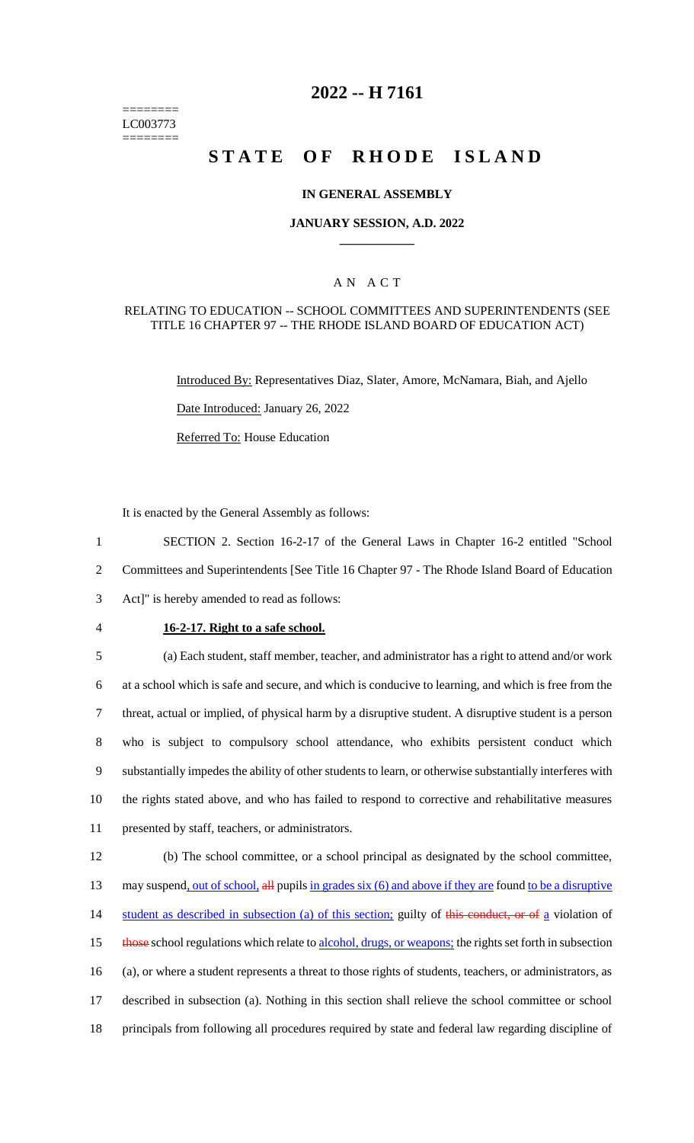======== LC003773 ========

# **2022 -- H 7161**

# **STATE OF RHODE ISLAND**

## **IN GENERAL ASSEMBLY**

## **JANUARY SESSION, A.D. 2022 \_\_\_\_\_\_\_\_\_\_\_\_**

## A N A C T

#### RELATING TO EDUCATION -- SCHOOL COMMITTEES AND SUPERINTENDENTS (SEE TITLE 16 CHAPTER 97 -- THE RHODE ISLAND BOARD OF EDUCATION ACT)

Introduced By: Representatives Diaz, Slater, Amore, McNamara, Biah, and Ajello

Date Introduced: January 26, 2022

Referred To: House Education

It is enacted by the General Assembly as follows:

1 SECTION 2. Section 16-2-17 of the General Laws in Chapter 16-2 entitled "School 2 Committees and Superintendents [See Title 16 Chapter 97 - The Rhode Island Board of Education 3 Act]" is hereby amended to read as follows:

#### 4 **16-2-17. Right to a safe school.**

 (a) Each student, staff member, teacher, and administrator has a right to attend and/or work at a school which is safe and secure, and which is conducive to learning, and which is free from the threat, actual or implied, of physical harm by a disruptive student. A disruptive student is a person who is subject to compulsory school attendance, who exhibits persistent conduct which substantially impedes the ability of other students to learn, or otherwise substantially interferes with the rights stated above, and who has failed to respond to corrective and rehabilitative measures presented by staff, teachers, or administrators.

12 (b) The school committee, or a school principal as designated by the school committee, 13 may suspend, out of school, all pupils in grades six (6) and above if they are found to be a disruptive 14 student as described in subsection (a) of this section; guilty of this conduct, or of a violation of 15 those school regulations which relate to alcohol, drugs, or weapons; the rights set forth in subsection 16 (a), or where a student represents a threat to those rights of students, teachers, or administrators, as 17 described in subsection (a). Nothing in this section shall relieve the school committee or school 18 principals from following all procedures required by state and federal law regarding discipline of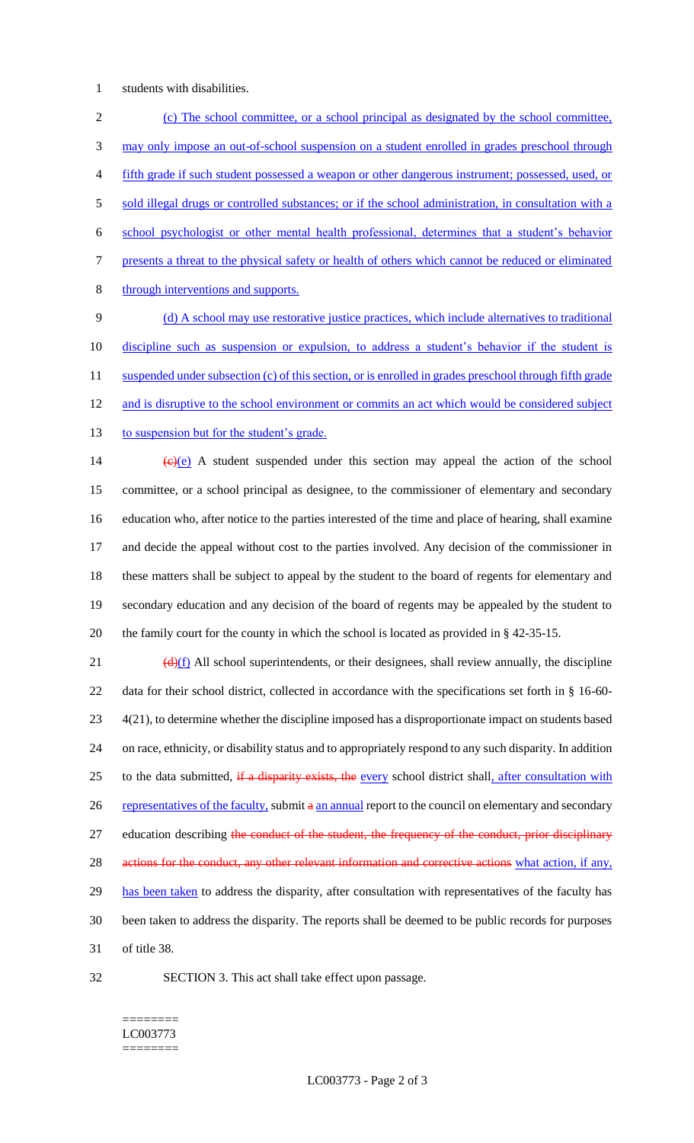1 students with disabilities.

2 (c) The school committee, or a school principal as designated by the school committee, 3 may only impose an out-of-school suspension on a student enrolled in grades preschool through 4 fifth grade if such student possessed a weapon or other dangerous instrument; possessed, used, or 5 sold illegal drugs or controlled substances; or if the school administration, in consultation with a 6 school psychologist or other mental health professional, determines that a student's behavior 7 presents a threat to the physical safety or health of others which cannot be reduced or eliminated 8 through interventions and supports. 9 (d) A school may use restorative justice practices, which include alternatives to traditional

10 discipline such as suspension or expulsion, to address a student's behavior if the student is 11 suspended under subsection (c) of this section, or is enrolled in grades preschool through fifth grade 12 and is disruptive to the school environment or commits an act which would be considered subject 13 to suspension but for the student's grade.

 $(e)(e)$  A student suspended under this section may appeal the action of the school committee, or a school principal as designee, to the commissioner of elementary and secondary education who, after notice to the parties interested of the time and place of hearing, shall examine and decide the appeal without cost to the parties involved. Any decision of the commissioner in these matters shall be subject to appeal by the student to the board of regents for elementary and secondary education and any decision of the board of regents may be appealed by the student to the family court for the county in which the school is located as provided in § 42-35-15.

 $\frac{d(x)}{dx}$  All school superintendents, or their designees, shall review annually, the discipline 22 data for their school district, collected in accordance with the specifications set forth in § 16-60- 23 4(21), to determine whether the discipline imposed has a disproportionate impact on students based 24 on race, ethnicity, or disability status and to appropriately respond to any such disparity. In addition 25 to the data submitted, if a disparity exists, the every school district shall, after consultation with 26 representatives of the faculty, submit a an annual report to the council on elementary and secondary 27 education describing the conduct of the student, the frequency of the conduct, prior disciplinary 28 actions for the conduct, any other relevant information and corrective actions what action, if any, 29 has been taken to address the disparity, after consultation with representatives of the faculty has 30 been taken to address the disparity. The reports shall be deemed to be public records for purposes 31 of title 38.

32 SECTION 3. This act shall take effect upon passage.

#### ======== LC003773 ========